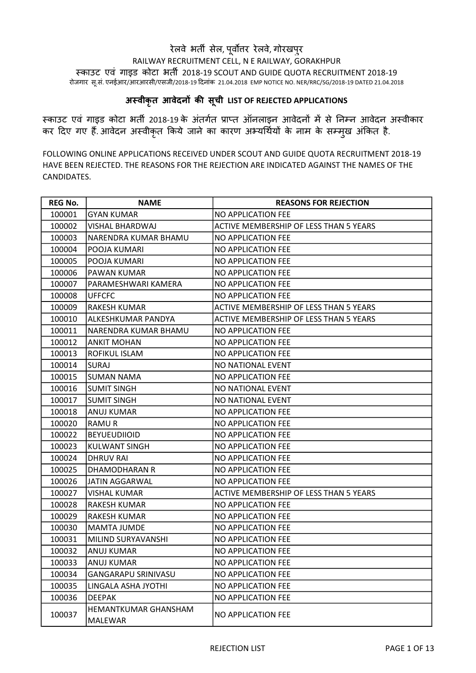## रेलवे भर्ती सेल, पूर्वोत्तर रेलवे, गोरखपुर RAILWAY RECRUITMENT CELL, N E RAILWAY, GORAKHPUR èकाउट एवं गाइड कोटा भतȸ 2018-19 SCOUT AND GUIDE QUOTA RECRUITMENT 2018-19 रोजगार सू.सं. एनईआर/आरआरसी/एसजी/2018-19 दिनांक 21.04.2018 EMP NOTICE NO. NER/RRC/SG/2018-19 DATED 21.04.2018

## अस्वीकृत आवेदनों की सूची LIST OF REJECTED APPLICATIONS

स्काउट एवं गाइड कोटा भर्ती 2018-19 के अंतर्गत प्राप्त ऑनलाइन आवेदनों में से निम्न आवेदन अस्वीकार कर दिए गए हैं. आवेदन अस्वीकृत किये जाने का कारण अभ्यर्थियों के नाम के सम्मुख अंकित है.

FOLLOWING ONLINE APPLICATIONS RECEIVED UNDER SCOUT AND GUIDE QUOTA RECRUITMENT 2018-19 HAVE BEEN REJECTED. THE REASONS FOR THE REJECTION ARE INDICATED AGAINST THE NAMES OF THE CANDIDATES.

| <b>REG No.</b> | <b>NAME</b>                | <b>REASONS FOR REJECTION</b>           |
|----------------|----------------------------|----------------------------------------|
| 100001         | <b>GYAN KUMAR</b>          | NO APPLICATION FEE                     |
| 100002         | <b>VISHAL BHARDWAJ</b>     | ACTIVE MEMBERSHIP OF LESS THAN 5 YEARS |
| 100003         | NARENDRA KUMAR BHAMU       | NO APPLICATION FEE                     |
| 100004         | POOJA KUMARI               | NO APPLICATION FEE                     |
| 100005         | POOJA KUMARI               | NO APPLICATION FEE                     |
| 100006         | PAWAN KUMAR                | NO APPLICATION FEE                     |
| 100007         | PARAMESHWARI KAMERA        | NO APPLICATION FEE                     |
| 100008         | <b>UFFCFC</b>              | NO APPLICATION FEE                     |
| 100009         | <b>RAKESH KUMAR</b>        | ACTIVE MEMBERSHIP OF LESS THAN 5 YEARS |
| 100010         | ALKESHKUMAR PANDYA         | ACTIVE MEMBERSHIP OF LESS THAN 5 YEARS |
| 100011         | NARENDRA KUMAR BHAMU       | NO APPLICATION FEE                     |
| 100012         | <b>ANKIT MOHAN</b>         | NO APPLICATION FEE                     |
| 100013         | ROFIKUL ISLAM              | NO APPLICATION FEE                     |
| 100014         | <b>SURAJ</b>               | NO NATIONAL EVENT                      |
| 100015         | <b>SUMAN NAMA</b>          | NO APPLICATION FEE                     |
| 100016         | <b>SUMIT SINGH</b>         | NO NATIONAL EVENT                      |
| 100017         | <b>SUMIT SINGH</b>         | NO NATIONAL EVENT                      |
| 100018         | <b>ANUJ KUMAR</b>          | NO APPLICATION FEE                     |
| 100020         | RAMU R                     | NO APPLICATION FEE                     |
| 100022         | <b>BEYUEUDIIOID</b>        | NO APPLICATION FEE                     |
| 100023         | <b>KULWANT SINGH</b>       | NO APPLICATION FEE                     |
| 100024         | <b>DHRUV RAI</b>           | NO APPLICATION FEE                     |
| 100025         | DHAMODHARAN R              | NO APPLICATION FEE                     |
| 100026         | JATIN AGGARWAL             | NO APPLICATION FEE                     |
| 100027         | <b>VISHAL KUMAR</b>        | ACTIVE MEMBERSHIP OF LESS THAN 5 YEARS |
| 100028         | <b>RAKESH KUMAR</b>        | NO APPLICATION FEE                     |
| 100029         | <b>RAKESH KUMAR</b>        | NO APPLICATION FEE                     |
| 100030         | <b>MAMTA JUMDE</b>         | NO APPLICATION FEE                     |
| 100031         | MILIND SURYAVANSHI         | NO APPLICATION FEE                     |
| 100032         | <b>ANUJ KUMAR</b>          | NO APPLICATION FEE                     |
| 100033         | ANUJ KUMAR                 | NO APPLICATION FEE                     |
| 100034         | <b>GANGARAPU SRINIVASU</b> | NO APPLICATION FEE                     |
| 100035         | LINGALA ASHA JYOTHI        | NO APPLICATION FEE                     |
| 100036         | <b>DEEPAK</b>              | NO APPLICATION FEE                     |
| 100037         | HEMANTKUMAR GHANSHAM       | NO APPLICATION FEE                     |
|                | MALEWAR                    |                                        |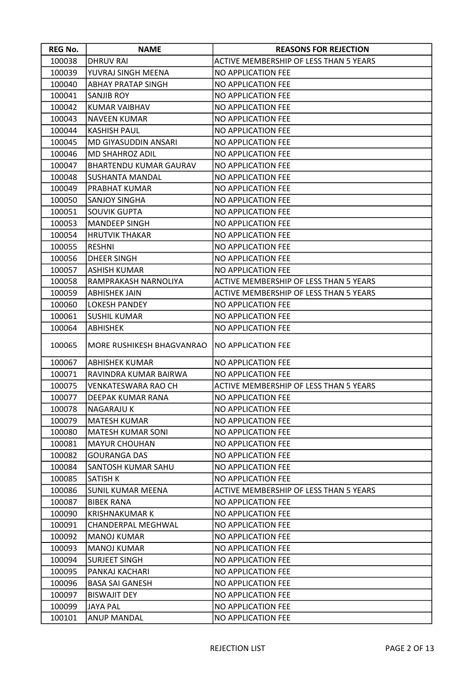| <b>REG No.</b> | <b>NAME</b>                   | <b>REASONS FOR REJECTION</b>                  |
|----------------|-------------------------------|-----------------------------------------------|
| 100038         | <b>DHRUV RAI</b>              | ACTIVE MEMBERSHIP OF LESS THAN 5 YEARS        |
| 100039         | YUVRAJ SINGH MEENA            | NO APPLICATION FEE                            |
| 100040         | <b>ABHAY PRATAP SINGH</b>     | NO APPLICATION FEE                            |
| 100041         | <b>SANJIB ROY</b>             | NO APPLICATION FEE                            |
| 100042         | <b>KUMAR VAIBHAV</b>          | NO APPLICATION FEE                            |
| 100043         | <b>NAVEEN KUMAR</b>           | NO APPLICATION FEE                            |
| 100044         | <b>KASHISH PAUL</b>           | NO APPLICATION FEE                            |
| 100045         | <b>MD GIYASUDDIN ANSARI</b>   | <b>NO APPLICATION FEE</b>                     |
| 100046         | MD SHAHROZ ADIL               | NO APPLICATION FEE                            |
| 100047         | <b>BHARTENDU KUMAR GAURAV</b> | <b>NO APPLICATION FEE</b>                     |
| 100048         | SUSHANTA MANDAL               | NO APPLICATION FEE                            |
| 100049         | PRABHAT KUMAR                 | NO APPLICATION FEE                            |
| 100050         | <b>SANJOY SINGHA</b>          | NO APPLICATION FEE                            |
| 100051         | <b>SOUVIK GUPTA</b>           | NO APPLICATION FEE                            |
| 100053         | <b>MANDEEP SINGH</b>          | NO APPLICATION FEE                            |
| 100054         | <b>HRUTVIK THAKAR</b>         | NO APPLICATION FEE                            |
| 100055         | <b>RESHNI</b>                 | NO APPLICATION FEE                            |
| 100056         | <b>DHEER SINGH</b>            | NO APPLICATION FEE                            |
| 100057         | <b>ASHISH KUMAR</b>           | NO APPLICATION FEE                            |
| 100058         | RAMPRAKASH NARNOLIYA          | ACTIVE MEMBERSHIP OF LESS THAN 5 YEARS        |
| 100059         | <b>ABHISHEK JAIN</b>          | ACTIVE MEMBERSHIP OF LESS THAN 5 YEARS        |
| 100060         | <b>LOKESH PANDEY</b>          | <b>NO APPLICATION FEE</b>                     |
| 100061         | <b>SUSHIL KUMAR</b>           | NO APPLICATION FEE                            |
| 100064         | <b>ABHISHEK</b>               | NO APPLICATION FEE                            |
| 100065         | MORE RUSHIKESH BHAGVANRAO     | INO APPLICATION FEE                           |
| 100067         | <b>ABHISHEK KUMAR</b>         | NO APPLICATION FEE                            |
| 100071         | RAVINDRA KUMAR BAIRWA         | NO APPLICATION FEE                            |
| 100075         | <b>VENKATESWARA RAO CH</b>    | <b>ACTIVE MEMBERSHIP OF LESS THAN 5 YEARS</b> |
| 100077         | DEEPAK KUMAR RANA             | <b>NO APPLICATION FEE</b>                     |
| 100078         | <b>NAGARAJU K</b>             | <b>NO APPLICATION FEE</b>                     |
| 100079         | <b>MATESH KUMAR</b>           | NO APPLICATION FEE                            |
| 100080         | <b>MATESH KUMAR SONI</b>      | NO APPLICATION FEE                            |
| 100081         | <b>MAYUR CHOUHAN</b>          | NO APPLICATION FEE                            |
| 100082         | <b>GOURANGA DAS</b>           | NO APPLICATION FEE                            |
| 100084         | SANTOSH KUMAR SAHU            | NO APPLICATION FEE                            |
| 100085         | <b>SATISH K</b>               | NO APPLICATION FEE                            |
| 100086         | <b>SUNIL KUMAR MEENA</b>      | ACTIVE MEMBERSHIP OF LESS THAN 5 YEARS        |
| 100087         | <b>BIBEK RANA</b>             | NO APPLICATION FEE                            |
| 100090         | <b>KRISHNAKUMAR K</b>         | NO APPLICATION FEE                            |
| 100091         | CHANDERPAL MEGHWAL            | NO APPLICATION FEE                            |
| 100092         | <b>MANOJ KUMAR</b>            | NO APPLICATION FEE                            |
| 100093         | <b>MANOJ KUMAR</b>            | NO APPLICATION FEE                            |
| 100094         | <b>SURJEET SINGH</b>          | NO APPLICATION FEE                            |
| 100095         | PANKAJ KACHARI                | NO APPLICATION FEE                            |
| 100096         | <b>BASA SAI GANESH</b>        | NO APPLICATION FEE                            |
| 100097         | <b>BISWAJIT DEY</b>           | NO APPLICATION FEE                            |
| 100099         | <b>JAYA PAL</b>               | NO APPLICATION FEE                            |
| 100101         | <b>ANUP MANDAL</b>            | NO APPLICATION FEE                            |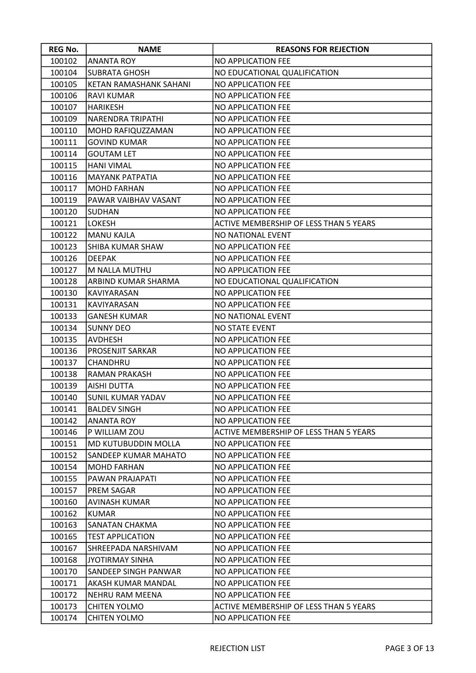| <b>REG No.</b> | <b>NAME</b>              | <b>REASONS FOR REJECTION</b>                  |
|----------------|--------------------------|-----------------------------------------------|
| 100102         | <b>ANANTA ROY</b>        | NO APPLICATION FEE                            |
| 100104         | <b>SUBRATA GHOSH</b>     | NO EDUCATIONAL QUALIFICATION                  |
| 100105         | KETAN RAMASHANK SAHANI   | <b>NO APPLICATION FEE</b>                     |
| 100106         | <b>RAVI KUMAR</b>        | NO APPLICATION FEE                            |
| 100107         | <b>HARIKESH</b>          | NO APPLICATION FEE                            |
| 100109         | NARENDRA TRIPATHI        | NO APPLICATION FEE                            |
| 100110         | MOHD RAFIQUZZAMAN        | NO APPLICATION FEE                            |
| 100111         | <b>GOVIND KUMAR</b>      | NO APPLICATION FEE                            |
| 100114         | <b>GOUTAM LET</b>        | NO APPLICATION FEE                            |
| 100115         | <b>HANI VIMAL</b>        | NO APPLICATION FEE                            |
| 100116         | <b>MAYANK PATPATIA</b>   | NO APPLICATION FEE                            |
| 100117         | <b>MOHD FARHAN</b>       | NO APPLICATION FEE                            |
| 100119         | PAWAR VAIBHAV VASANT     | NO APPLICATION FEE                            |
| 100120         | <b>SUDHAN</b>            | NO APPLICATION FEE                            |
| 100121         | <b>LOKESH</b>            | <b>ACTIVE MEMBERSHIP OF LESS THAN 5 YEARS</b> |
| 100122         | <b>MANU KAJLA</b>        | NO NATIONAL EVENT                             |
| 100123         | SHIBA KUMAR SHAW         | <b>NO APPLICATION FEE</b>                     |
| 100126         | <b>DEEPAK</b>            | NO APPLICATION FEE                            |
| 100127         | M NALLA MUTHU            | NO APPLICATION FEE                            |
| 100128         | ARBIND KUMAR SHARMA      | NO EDUCATIONAL QUALIFICATION                  |
| 100130         | KAVIYARASAN              | NO APPLICATION FEE                            |
| 100131         | KAVIYARASAN              | NO APPLICATION FEE                            |
| 100133         | <b>GANESH KUMAR</b>      | NO NATIONAL EVENT                             |
| 100134         | <b>SUNNY DEO</b>         | <b>NO STATE EVENT</b>                         |
| 100135         | <b>AVDHESH</b>           | NO APPLICATION FEE                            |
| 100136         | PROSENJIT SARKAR         | NO APPLICATION FEE                            |
| 100137         | CHANDHRU                 | NO APPLICATION FEE                            |
| 100138         | <b>RAMAN PRAKASH</b>     | NO APPLICATION FEE                            |
| 100139         | <b>AISHI DUTTA</b>       | NO APPLICATION FEE                            |
| 100140         | <b>SUNIL KUMAR YADAV</b> | NO APPLICATION FEE                            |
| 100141         | <b>BALDEV SINGH</b>      | NO APPLICATION FEE                            |
| 100142         | <b>ANANTA ROY</b>        | NO APPLICATION FEE                            |
| 100146         | P WILLIAM ZOU            | ACTIVE MEMBERSHIP OF LESS THAN 5 YEARS        |
| 100151         | MD KUTUBUDDIN MOLLA      | NO APPLICATION FEE                            |
| 100152         | SANDEEP KUMAR MAHATO     | NO APPLICATION FEE                            |
| 100154         | <b>MOHD FARHAN</b>       | NO APPLICATION FEE                            |
| 100155         | PAWAN PRAJAPATI          | NO APPLICATION FEE                            |
| 100157         | PREM SAGAR               | NO APPLICATION FEE                            |
| 100160         | AVINASH KUMAR            | NO APPLICATION FEE                            |
| 100162         | <b>KUMAR</b>             | NO APPLICATION FEE                            |
| 100163         | SANATAN CHAKMA           | NO APPLICATION FEE                            |
| 100165         | <b>TEST APPLICATION</b>  | NO APPLICATION FEE                            |
| 100167         | SHREEPADA NARSHIVAM      | NO APPLICATION FEE                            |
| 100168         | <b>JYOTIRMAY SINHA</b>   | NO APPLICATION FEE                            |
| 100170         | SANDEEP SINGH PANWAR     | NO APPLICATION FEE                            |
| 100171         | AKASH KUMAR MANDAL       | NO APPLICATION FEE                            |
| 100172         | NEHRU RAM MEENA          | NO APPLICATION FEE                            |
| 100173         | <b>CHITEN YOLMO</b>      | ACTIVE MEMBERSHIP OF LESS THAN 5 YEARS        |
| 100174         | <b>CHITEN YOLMO</b>      | NO APPLICATION FEE                            |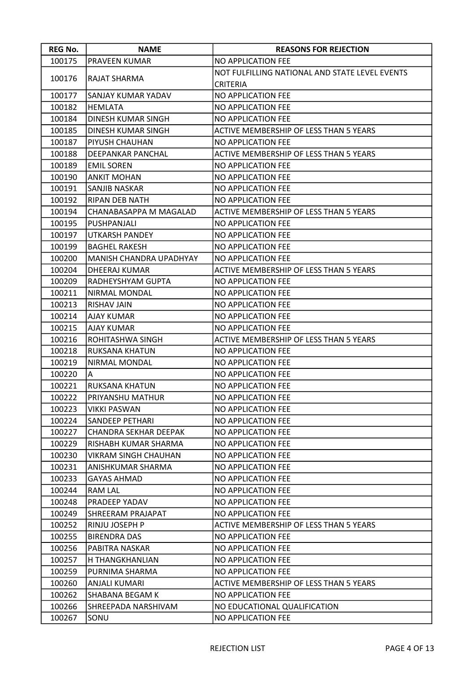| <b>REG No.</b> | <b>NAME</b>                    | <b>REASONS FOR REJECTION</b>                   |
|----------------|--------------------------------|------------------------------------------------|
| 100175         | PRAVEEN KUMAR                  | NO APPLICATION FEE                             |
|                |                                | NOT FULFILLING NATIONAL AND STATE LEVEL EVENTS |
| 100176         | RAJAT SHARMA                   | <b>CRITERIA</b>                                |
| 100177         | SANJAY KUMAR YADAV             | NO APPLICATION FEE                             |
| 100182         | <b>HEMLATA</b>                 | NO APPLICATION FEE                             |
| 100184         | DINESH KUMAR SINGH             | NO APPLICATION FEE                             |
| 100185         | DINESH KUMAR SINGH             | ACTIVE MEMBERSHIP OF LESS THAN 5 YEARS         |
| 100187         | PIYUSH CHAUHAN                 | NO APPLICATION FEE                             |
| 100188         | DEEPANKAR PANCHAL              | ACTIVE MEMBERSHIP OF LESS THAN 5 YEARS         |
| 100189         | <b>EMIL SOREN</b>              | NO APPLICATION FEE                             |
| 100190         | ANKIT MOHAN                    | NO APPLICATION FEE                             |
| 100191         | SANJIB NASKAR                  | NO APPLICATION FEE                             |
| 100192         | RIPAN DEB NATH                 | NO APPLICATION FEE                             |
| 100194         | CHANABASAPPA M MAGALAD         | ACTIVE MEMBERSHIP OF LESS THAN 5 YEARS         |
| 100195         | PUSHPANJALI                    | NO APPLICATION FEE                             |
| 100197         | UTKARSH PANDEY                 | NO APPLICATION FEE                             |
| 100199         | <b>BAGHEL RAKESH</b>           | NO APPLICATION FEE                             |
| 100200         | <b>MANISH CHANDRA UPADHYAY</b> | NO APPLICATION FEE                             |
| 100204         | DHEERAJ KUMAR                  | ACTIVE MEMBERSHIP OF LESS THAN 5 YEARS         |
| 100209         | RADHEYSHYAM GUPTA              | NO APPLICATION FEE                             |
| 100211         | NIRMAL MONDAL                  | NO APPLICATION FEE                             |
| 100213         | RISHAV JAIN                    | NO APPLICATION FEE                             |
| 100214         | AJAY KUMAR                     | NO APPLICATION FEE                             |
| 100215         | <b>AJAY KUMAR</b>              | NO APPLICATION FEE                             |
| 100216         | ROHITASHWA SINGH               | ACTIVE MEMBERSHIP OF LESS THAN 5 YEARS         |
| 100218         | RUKSANA KHATUN                 | NO APPLICATION FEE                             |
| 100219         | NIRMAL MONDAL                  | NO APPLICATION FEE                             |
| 100220         | A                              | NO APPLICATION FEE                             |
| 100221         | RUKSANA KHATUN                 | NO APPLICATION FEE                             |
| 100222         | PRIYANSHU MATHUR               | NO APPLICATION FEE                             |
| 100223         | <b>VIKKI PASWAN</b>            | NO APPLICATION FEE                             |
| 100224         | SANDEEP PETHARI                | NO APPLICATION FEE                             |
| 100227         | <b>CHANDRA SEKHAR DEEPAK</b>   | NO APPLICATION FEE                             |
| 100229         | RISHABH KUMAR SHARMA           | NO APPLICATION FEE                             |
| 100230         | VIKRAM SINGH CHAUHAN           | NO APPLICATION FEE                             |
| 100231         | ANISHKUMAR SHARMA              | NO APPLICATION FEE                             |
| 100233         | GAYAS AHMAD                    | NO APPLICATION FEE                             |
| 100244         | RAM LAL                        | NO APPLICATION FEE                             |
| 100248         | PRADEEP YADAV                  | NO APPLICATION FEE                             |
| 100249         | SHREERAM PRAJAPAT              | NO APPLICATION FEE                             |
| 100252         | RINJU JOSEPH P                 | ACTIVE MEMBERSHIP OF LESS THAN 5 YEARS         |
| 100255         | <b>BIRENDRA DAS</b>            | NO APPLICATION FEE                             |
| 100256         | PABITRA NASKAR                 | NO APPLICATION FEE                             |
| 100257         | H THANGKHANLIAN                | NO APPLICATION FEE                             |
| 100259         | PURNIMA SHARMA                 | NO APPLICATION FEE                             |
| 100260         | ANJALI KUMARI                  | ACTIVE MEMBERSHIP OF LESS THAN 5 YEARS         |
| 100262         | SHABANA BEGAM K                | NO APPLICATION FEE                             |
| 100266         | SHREEPADA NARSHIVAM            | NO EDUCATIONAL QUALIFICATION                   |
| 100267         | SONU                           | NO APPLICATION FEE                             |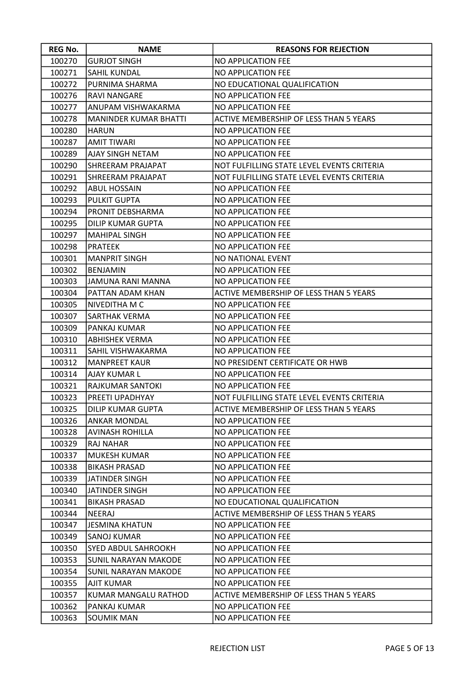| <b>REG No.</b> | <b>NAME</b>                 | <b>REASONS FOR REJECTION</b>               |
|----------------|-----------------------------|--------------------------------------------|
| 100270         | <b>GURJOT SINGH</b>         | NO APPLICATION FEE                         |
| 100271         | <b>SAHIL KUNDAL</b>         | <b>NO APPLICATION FEE</b>                  |
| 100272         | PURNIMA SHARMA              | NO EDUCATIONAL QUALIFICATION               |
| 100276         | <b>RAVI NANGARE</b>         | <b>NO APPLICATION FEE</b>                  |
| 100277         | ANUPAM VISHWAKARMA          | NO APPLICATION FEE                         |
| 100278         | MANINDER KUMAR BHATTI       | ACTIVE MEMBERSHIP OF LESS THAN 5 YEARS     |
| 100280         | <b>HARUN</b>                | NO APPLICATION FEE                         |
| 100287         | <b>AMIT TIWARI</b>          | NO APPLICATION FEE                         |
| 100289         | AJAY SINGH NETAM            | <b>NO APPLICATION FEE</b>                  |
| 100290         | SHREERAM PRAJAPAT           | NOT FULFILLING STATE LEVEL EVENTS CRITERIA |
| 100291         | SHREERAM PRAJAPAT           | NOT FULFILLING STATE LEVEL EVENTS CRITERIA |
| 100292         | <b>ABUL HOSSAIN</b>         | NO APPLICATION FEE                         |
| 100293         | <b>PULKIT GUPTA</b>         | NO APPLICATION FEE                         |
| 100294         | PRONIT DEBSHARMA            | NO APPLICATION FEE                         |
| 100295         | <b>DILIP KUMAR GUPTA</b>    | NO APPLICATION FEE                         |
| 100297         | MAHIPAL SINGH               | NO APPLICATION FEE                         |
| 100298         | <b>PRATEEK</b>              | NO APPLICATION FEE                         |
| 100301         | <b>MANPRIT SINGH</b>        | NO NATIONAL EVENT                          |
| 100302         | <b>BENJAMIN</b>             | NO APPLICATION FEE                         |
| 100303         | JAMUNA RANI MANNA           | NO APPLICATION FEE                         |
| 100304         | PATTAN ADAM KHAN            | ACTIVE MEMBERSHIP OF LESS THAN 5 YEARS     |
| 100305         | NIVEDITHA M C               | NO APPLICATION FEE                         |
| 100307         | SARTHAK VERMA               | NO APPLICATION FEE                         |
| 100309         | PANKAJ KUMAR                | NO APPLICATION FEE                         |
| 100310         | <b>ABHISHEK VERMA</b>       | NO APPLICATION FEE                         |
| 100311         | SAHIL VISHWAKARMA           | NO APPLICATION FEE                         |
| 100312         | <b>MANPREET KAUR</b>        | NO PRESIDENT CERTIFICATE OR HWB            |
| 100314         | AJAY KUMAR L                | NO APPLICATION FEE                         |
| 100321         | <b>RAJKUMAR SANTOKI</b>     | NO APPLICATION FEE                         |
| 100323         | PREETI UPADHYAY             | NOT FULFILLING STATE LEVEL EVENTS CRITERIA |
| 100325         | <b>DILIP KUMAR GUPTA</b>    | ACTIVE MEMBERSHIP OF LESS THAN 5 YEARS     |
| 100326         | ANKAR MONDAL                | NO APPLICATION FEE                         |
| 100328         | <b>AVINASH ROHILLA</b>      | NO APPLICATION FEE                         |
| 100329         | <b>RAJ NAHAR</b>            | NO APPLICATION FEE                         |
| 100337         | MUKESH KUMAR                | NO APPLICATION FEE                         |
| 100338         | <b>BIKASH PRASAD</b>        | NO APPLICATION FEE                         |
| 100339         | JATINDER SINGH              | NO APPLICATION FEE                         |
| 100340         | JATINDER SINGH              | NO APPLICATION FEE                         |
| 100341         | <b>BIKASH PRASAD</b>        | NO EDUCATIONAL QUALIFICATION               |
| 100344         | <b>NEERAJ</b>               | ACTIVE MEMBERSHIP OF LESS THAN 5 YEARS     |
| 100347         | <b>JESMINA KHATUN</b>       | NO APPLICATION FEE                         |
| 100349         | <b>SANOJ KUMAR</b>          | NO APPLICATION FEE                         |
| 100350         | SYED ABDUL SAHROOKH         | NO APPLICATION FEE                         |
| 100353         | SUNIL NARAYAN MAKODE        | NO APPLICATION FEE                         |
| 100354         | <b>SUNIL NARAYAN MAKODE</b> | NO APPLICATION FEE                         |
| 100355         | <b>AJIT KUMAR</b>           | NO APPLICATION FEE                         |
| 100357         | KUMAR MANGALU RATHOD        | ACTIVE MEMBERSHIP OF LESS THAN 5 YEARS     |
| 100362         | PANKAJ KUMAR                | NO APPLICATION FEE                         |
| 100363         | <b>SOUMIK MAN</b>           | NO APPLICATION FEE                         |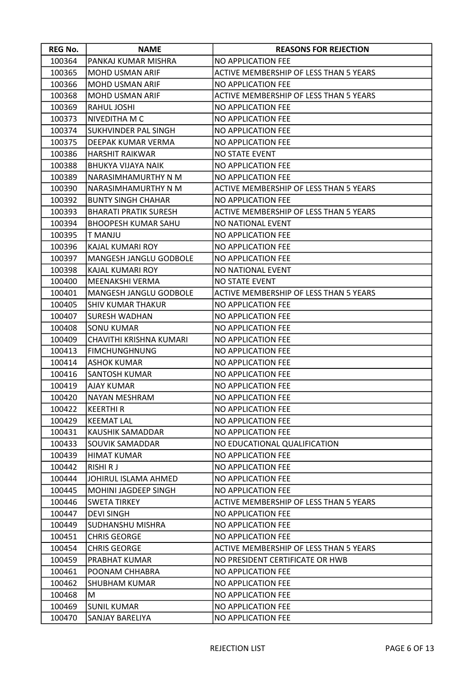| <b>REG No.</b> | <b>NAME</b>                   | <b>REASONS FOR REJECTION</b>           |
|----------------|-------------------------------|----------------------------------------|
| 100364         | PANKAJ KUMAR MISHRA           | <b>NO APPLICATION FEE</b>              |
| 100365         | <b>MOHD USMAN ARIF</b>        | ACTIVE MEMBERSHIP OF LESS THAN 5 YEARS |
| 100366         | <b>MOHD USMAN ARIF</b>        | <b>NO APPLICATION FEE</b>              |
| 100368         | MOHD USMAN ARIF               | ACTIVE MEMBERSHIP OF LESS THAN 5 YEARS |
| 100369         | RAHUL JOSHI                   | NO APPLICATION FEE                     |
| 100373         | NIVEDITHA M C                 | <b>NO APPLICATION FEE</b>              |
| 100374         | <b>SUKHVINDER PAL SINGH</b>   | <b>NO APPLICATION FEE</b>              |
| 100375         | DEEPAK KUMAR VERMA            | <b>NO APPLICATION FEE</b>              |
| 100386         | HARSHIT RAIKWAR               | <b>NO STATE EVENT</b>                  |
| 100388         | <b>BHUKYA VIJAYA NAIK</b>     | <b>NO APPLICATION FEE</b>              |
| 100389         | NARASIMHAMURTHY N M           | NO APPLICATION FEE                     |
| 100390         | NARASIMHAMURTHY N M           | ACTIVE MEMBERSHIP OF LESS THAN 5 YEARS |
| 100392         | <b>BUNTY SINGH CHAHAR</b>     | <b>NO APPLICATION FEE</b>              |
| 100393         | <b>BHARATI PRATIK SURESH</b>  | ACTIVE MEMBERSHIP OF LESS THAN 5 YEARS |
| 100394         | <b>BHOOPESH KUMAR SAHU</b>    | NO NATIONAL EVENT                      |
| 100395         | T MANJU                       | NO APPLICATION FEE                     |
| 100396         | KAJAL KUMARI ROY              | <b>NO APPLICATION FEE</b>              |
| 100397         | MANGESH JANGLU GODBOLE        | NO APPLICATION FEE                     |
| 100398         | KAJAL KUMARI ROY              | <b>NO NATIONAL EVENT</b>               |
| 100400         | MEENAKSHI VERMA               | <b>NO STATE EVENT</b>                  |
| 100401         | <b>MANGESH JANGLU GODBOLE</b> | ACTIVE MEMBERSHIP OF LESS THAN 5 YEARS |
| 100405         | <b>SHIV KUMAR THAKUR</b>      | <b>NO APPLICATION FEE</b>              |
| 100407         | SURESH WADHAN                 | NO APPLICATION FEE                     |
| 100408         | <b>SONU KUMAR</b>             | <b>NO APPLICATION FEE</b>              |
| 100409         | CHAVITHI KRISHNA KUMARI       | <b>NO APPLICATION FEE</b>              |
| 100413         | <b>FIMCHUNGHNUNG</b>          | NO APPLICATION FEE                     |
| 100414         | <b>ASHOK KUMAR</b>            | <b>NO APPLICATION FEE</b>              |
| 100416         | SANTOSH KUMAR                 | <b>NO APPLICATION FEE</b>              |
| 100419         | <b>AJAY KUMAR</b>             | <b>NO APPLICATION FEE</b>              |
| 100420         | <b>NAYAN MESHRAM</b>          | <b>NO APPLICATION FEE</b>              |
| 100422         | <b>KEERTHIR</b>               | <b>NO APPLICATION FEE</b>              |
| 100429         | <b>KEEMAT LAL</b>             | <b>NO APPLICATION FEE</b>              |
| 100431         | KAUSHIK SAMADDAR              | NO APPLICATION FEE                     |
| 100433         | <b>SOUVIK SAMADDAR</b>        | NO EDUCATIONAL QUALIFICATION           |
| 100439         | HIMAT KUMAR                   | NO APPLICATION FEE                     |
| 100442         | <b>RISHI RJ</b>               | <b>NO APPLICATION FEE</b>              |
| 100444         | JOHIRUL ISLAMA AHMED          | NO APPLICATION FEE                     |
| 100445         | MOHINI JAGDEEP SINGH          | NO APPLICATION FEE                     |
| 100446         | <b>SWETA TIRKEY</b>           | ACTIVE MEMBERSHIP OF LESS THAN 5 YEARS |
| 100447         | <b>DEVI SINGH</b>             | NO APPLICATION FEE                     |
| 100449         | SUDHANSHU MISHRA              | <b>NO APPLICATION FEE</b>              |
| 100451         | <b>CHRIS GEORGE</b>           | NO APPLICATION FEE                     |
| 100454         | <b>CHRIS GEORGE</b>           | ACTIVE MEMBERSHIP OF LESS THAN 5 YEARS |
| 100459         | PRABHAT KUMAR                 | NO PRESIDENT CERTIFICATE OR HWB        |
| 100461         | POONAM CHHABRA                | NO APPLICATION FEE                     |
| 100462         | SHUBHAM KUMAR                 | <b>NO APPLICATION FEE</b>              |
| 100468         | М                             | NO APPLICATION FEE                     |
| 100469         | <b>SUNIL KUMAR</b>            | NO APPLICATION FEE                     |
| 100470         | SANJAY BARELIYA               | NO APPLICATION FEE                     |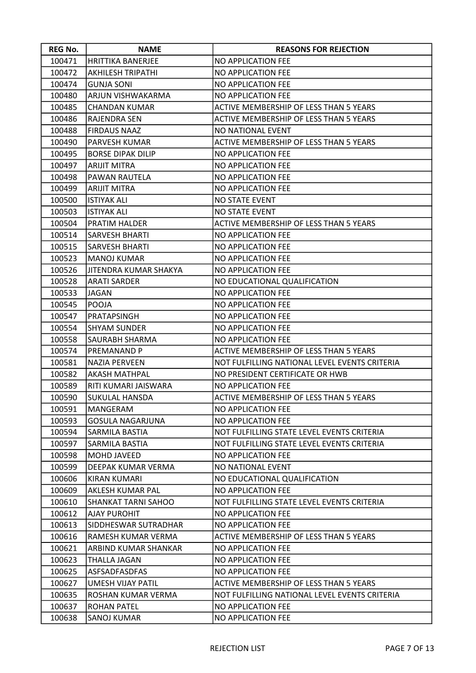| <b>REG No.</b> | <b>NAME</b>              | <b>REASONS FOR REJECTION</b>                  |
|----------------|--------------------------|-----------------------------------------------|
| 100471         | <b>HRITTIKA BANERJEE</b> | NO APPLICATION FEE                            |
| 100472         | <b>AKHILESH TRIPATHI</b> | NO APPLICATION FEE                            |
| 100474         | <b>GUNJA SONI</b>        | NO APPLICATION FEE                            |
| 100480         | ARJUN VISHWAKARMA        | NO APPLICATION FEE                            |
| 100485         | <b>CHANDAN KUMAR</b>     | ACTIVE MEMBERSHIP OF LESS THAN 5 YEARS        |
| 100486         | RAJENDRA SEN             | ACTIVE MEMBERSHIP OF LESS THAN 5 YEARS        |
| 100488         | <b>FIRDAUS NAAZ</b>      | NO NATIONAL EVENT                             |
| 100490         | <b>PARVESH KUMAR</b>     | ACTIVE MEMBERSHIP OF LESS THAN 5 YEARS        |
| 100495         | <b>BORSE DIPAK DILIP</b> | NO APPLICATION FEE                            |
| 100497         | <b>ARIJIT MITRA</b>      | NO APPLICATION FEE                            |
| 100498         | PAWAN RAUTELA            | NO APPLICATION FEE                            |
| 100499         | <b>ARIJIT MITRA</b>      | NO APPLICATION FEE                            |
| 100500         | <b>ISTIYAK ALI</b>       | <b>NO STATE EVENT</b>                         |
| 100503         | <b>ISTIYAK ALI</b>       | NO STATE EVENT                                |
| 100504         | PRATIM HALDER            | ACTIVE MEMBERSHIP OF LESS THAN 5 YEARS        |
| 100514         | <b>SARVESH BHARTI</b>    | NO APPLICATION FEE                            |
| 100515         | SARVESH BHARTI           | NO APPLICATION FEE                            |
| 100523         | <b>MANOJ KUMAR</b>       | NO APPLICATION FEE                            |
| 100526         | JITENDRA KUMAR SHAKYA    | NO APPLICATION FEE                            |
| 100528         | <b>ARATI SARDER</b>      | NO EDUCATIONAL QUALIFICATION                  |
| 100533         | JAGAN                    | NO APPLICATION FEE                            |
| 100545         | POOJA                    | NO APPLICATION FEE                            |
| 100547         | PRATAPSINGH              | NO APPLICATION FEE                            |
| 100554         | <b>SHYAM SUNDER</b>      | NO APPLICATION FEE                            |
| 100558         | SAURABH SHARMA           | NO APPLICATION FEE                            |
| 100574         | PREMANAND P              | ACTIVE MEMBERSHIP OF LESS THAN 5 YEARS        |
| 100581         | NAZIA PERVEEN            | NOT FULFILLING NATIONAL LEVEL EVENTS CRITERIA |
| 100582         | <b>AKASH MATHPAL</b>     | NO PRESIDENT CERTIFICATE OR HWB               |
| 100589         | RITI KUMARI JAISWARA     | NO APPLICATION FEE                            |
| 100590         | <b>SUKULAL HANSDA</b>    | ACTIVE MEMBERSHIP OF LESS THAN 5 YEARS        |
| 100591         | <b>MANGERAM</b>          | NO APPLICATION FEE                            |
| 100593         | <b>GOSULA NAGARJUNA</b>  | NO APPLICATION FEE                            |
| 100594         | SARMILA BASTIA           | NOT FULFILLING STATE LEVEL EVENTS CRITERIA    |
| 100597         | SARMILA BASTIA           | NOT FULFILLING STATE LEVEL EVENTS CRITERIA    |
| 100598         | <b>MOHD JAVEED</b>       | NO APPLICATION FEE                            |
| 100599         | DEEPAK KUMAR VERMA       | NO NATIONAL EVENT                             |
| 100606         | KIRAN KUMARI             | NO EDUCATIONAL QUALIFICATION                  |
| 100609         | AKLESH KUMAR PAL         | NO APPLICATION FEE                            |
| 100610         | SHANKAT TARNI SAHOO      | NOT FULFILLING STATE LEVEL EVENTS CRITERIA    |
| 100612         | <b>AJAY PUROHIT</b>      | NO APPLICATION FEE                            |
| 100613         | SIDDHESWAR SUTRADHAR     | NO APPLICATION FEE                            |
| 100616         | RAMESH KUMAR VERMA       | ACTIVE MEMBERSHIP OF LESS THAN 5 YEARS        |
| 100621         | ARBIND KUMAR SHANKAR     | NO APPLICATION FEE                            |
| 100623         | <b>THALLA JAGAN</b>      | NO APPLICATION FEE                            |
| 100625         | ASFSADFASDFAS            | NO APPLICATION FEE                            |
| 100627         | UMESH VIJAY PATIL        | ACTIVE MEMBERSHIP OF LESS THAN 5 YEARS        |
| 100635         | ROSHAN KUMAR VERMA       | NOT FULFILLING NATIONAL LEVEL EVENTS CRITERIA |
| 100637         | <b>ROHAN PATEL</b>       | NO APPLICATION FEE                            |
| 100638         | SANOJ KUMAR              | NO APPLICATION FEE                            |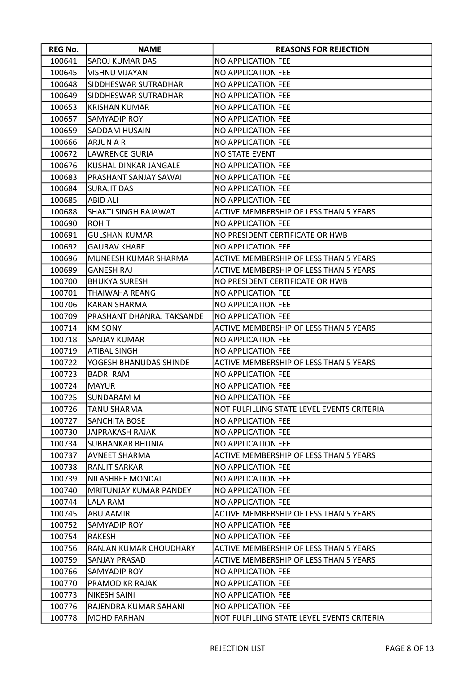| <b>REG No.</b> | <b>NAME</b>               | <b>REASONS FOR REJECTION</b>                  |
|----------------|---------------------------|-----------------------------------------------|
| 100641         | SAROJ KUMAR DAS           | <b>NO APPLICATION FEE</b>                     |
| 100645         | VISHNU VIJAYAN            | <b>NO APPLICATION FEE</b>                     |
| 100648         | SIDDHESWAR SUTRADHAR      | <b>NO APPLICATION FEE</b>                     |
| 100649         | SIDDHESWAR SUTRADHAR      | NO APPLICATION FEE                            |
| 100653         | <b>KRISHAN KUMAR</b>      | <b>NO APPLICATION FEE</b>                     |
| 100657         | SAMYADIP ROY              | <b>NO APPLICATION FEE</b>                     |
| 100659         | SADDAM HUSAIN             | <b>NO APPLICATION FEE</b>                     |
| 100666         | <b>ARJUN A R</b>          | <b>NO APPLICATION FEE</b>                     |
| 100672         | LAWRENCE GURIA            | <b>NO STATE EVENT</b>                         |
| 100676         | KUSHAL DINKAR JANGALE     | <b>NO APPLICATION FEE</b>                     |
| 100683         | PRASHANT SANJAY SAWAI     | NO APPLICATION FEE                            |
| 100684         | <b>SURAJIT DAS</b>        | NO APPLICATION FEE                            |
| 100685         | ABID ALI                  | NO APPLICATION FEE                            |
| 100688         | SHAKTI SINGH RAJAWAT      | ACTIVE MEMBERSHIP OF LESS THAN 5 YEARS        |
| 100690         | <b>ROHIT</b>              | <b>NO APPLICATION FEE</b>                     |
| 100691         | GULSHAN KUMAR             | NO PRESIDENT CERTIFICATE OR HWB               |
| 100692         | <b>GAURAV KHARE</b>       | <b>NO APPLICATION FEE</b>                     |
| 100696         | MUNEESH KUMAR SHARMA      | ACTIVE MEMBERSHIP OF LESS THAN 5 YEARS        |
| 100699         | <b>GANESH RAJ</b>         | ACTIVE MEMBERSHIP OF LESS THAN 5 YEARS        |
| 100700         | <b>BHUKYA SURESH</b>      | NO PRESIDENT CERTIFICATE OR HWB               |
| 100701         | THAIWAHA REANG            | <b>NO APPLICATION FEE</b>                     |
| 100706         | <b>KARAN SHARMA</b>       | <b>NO APPLICATION FEE</b>                     |
| 100709         | PRASHANT DHANRAJ TAKSANDE | NO APPLICATION FEE                            |
| 100714         | <b>KM SONY</b>            | <b>ACTIVE MEMBERSHIP OF LESS THAN 5 YEARS</b> |
| 100718         | SANJAY KUMAR              | NO APPLICATION FEE                            |
| 100719         | <b>ATIBAL SINGH</b>       | <b>NO APPLICATION FEE</b>                     |
| 100722         | YOGESH BHANUDAS SHINDE    | ACTIVE MEMBERSHIP OF LESS THAN 5 YEARS        |
| 100723         | <b>BADRI RAM</b>          | <b>NO APPLICATION FEE</b>                     |
| 100724         | <b>MAYUR</b>              | <b>NO APPLICATION FEE</b>                     |
| 100725         | <b>SUNDARAM M</b>         | <b>NO APPLICATION FEE</b>                     |
| 100726         | <b>TANU SHARMA</b>        | NOT FULFILLING STATE LEVEL EVENTS CRITERIA    |
| 100727         | <b>SANCHITA BOSE</b>      | <b>NO APPLICATION FEE</b>                     |
| 100730         | <b>JAIPRAKASH RAJAK</b>   | NO APPLICATION FEE                            |
| 100734         | <b>SUBHANKAR BHUNIA</b>   | <b>NO APPLICATION FEE</b>                     |
| 100737         | <b>AVNEET SHARMA</b>      | ACTIVE MEMBERSHIP OF LESS THAN 5 YEARS        |
| 100738         | RANJIT SARKAR             | <b>NO APPLICATION FEE</b>                     |
| 100739         | NILASHREE MONDAL          | <b>NO APPLICATION FEE</b>                     |
| 100740         | MRITUNJAY KUMAR PANDEY    | <b>NO APPLICATION FEE</b>                     |
| 100744         | LALA RAM                  | <b>NO APPLICATION FEE</b>                     |
| 100745         | ABU AAMIR                 | ACTIVE MEMBERSHIP OF LESS THAN 5 YEARS        |
| 100752         | SAMYADIP ROY              | <b>NO APPLICATION FEE</b>                     |
| 100754         | RAKESH                    | <b>NO APPLICATION FEE</b>                     |
| 100756         | RANJAN KUMAR CHOUDHARY    | <b>ACTIVE MEMBERSHIP OF LESS THAN 5 YEARS</b> |
| 100759         | SANJAY PRASAD             | ACTIVE MEMBERSHIP OF LESS THAN 5 YEARS        |
| 100766         | SAMYADIP ROY              | NO APPLICATION FEE                            |
| 100770         | PRAMOD KR RAJAK           | <b>NO APPLICATION FEE</b>                     |
| 100773         | NIKESH SAINI              | NO APPLICATION FEE                            |
| 100776         | RAJENDRA KUMAR SAHANI     | <b>NO APPLICATION FEE</b>                     |
| 100778         | <b>MOHD FARHAN</b>        | NOT FULFILLING STATE LEVEL EVENTS CRITERIA    |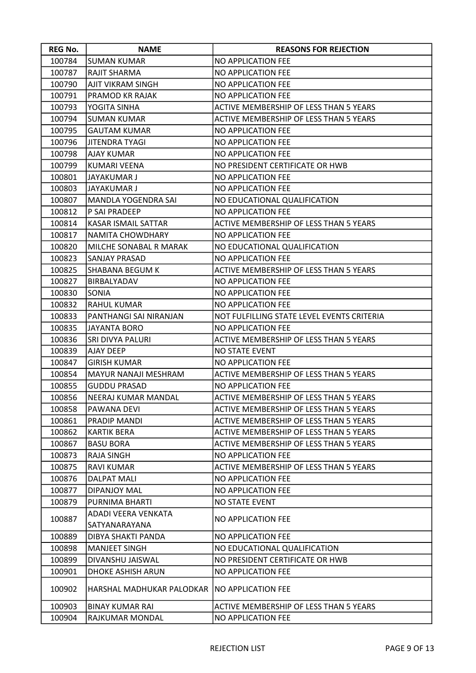| <b>REG No.</b> | <b>NAME</b>               | <b>REASONS FOR REJECTION</b>                  |
|----------------|---------------------------|-----------------------------------------------|
| 100784         | <b>SUMAN KUMAR</b>        | <b>NO APPLICATION FEE</b>                     |
| 100787         | <b>RAJIT SHARMA</b>       | NO APPLICATION FEE                            |
| 100790         | <b>AJIT VIKRAM SINGH</b>  | <b>NO APPLICATION FEE</b>                     |
| 100791         | PRAMOD KR RAJAK           | NO APPLICATION FEE                            |
| 100793         | YOGITA SINHA              | ACTIVE MEMBERSHIP OF LESS THAN 5 YEARS        |
| 100794         | SUMAN KUMAR               | ACTIVE MEMBERSHIP OF LESS THAN 5 YEARS        |
| 100795         | <b>GAUTAM KUMAR</b>       | NO APPLICATION FEE                            |
| 100796         | <b>JITENDRA TYAGI</b>     | <b>NO APPLICATION FEE</b>                     |
| 100798         | <b>AJAY KUMAR</b>         | NO APPLICATION FEE                            |
| 100799         | <b>KUMARI VEENA</b>       | NO PRESIDENT CERTIFICATE OR HWB               |
| 100801         | JAYAKUMAR J               | NO APPLICATION FEE                            |
| 100803         | JAYAKUMAR J               | NO APPLICATION FEE                            |
| 100807         | MANDLA YOGENDRA SAI       | NO EDUCATIONAL QUALIFICATION                  |
| 100812         | P SAI PRADEEP             | NO APPLICATION FEE                            |
| 100814         | KASAR ISMAIL SATTAR       | ACTIVE MEMBERSHIP OF LESS THAN 5 YEARS        |
| 100817         | NAMITA CHOWDHARY          | NO APPLICATION FEE                            |
| 100820         | MILCHE SONABAL R MARAK    | NO EDUCATIONAL QUALIFICATION                  |
| 100823         | SANJAY PRASAD             | NO APPLICATION FEE                            |
| 100825         | SHABANA BEGUM K           | ACTIVE MEMBERSHIP OF LESS THAN 5 YEARS        |
| 100827         | <b>BIRBALYADAV</b>        | <b>NO APPLICATION FEE</b>                     |
| 100830         | <b>SONIA</b>              | NO APPLICATION FEE                            |
| 100832         | <b>RAHUL KUMAR</b>        | <b>NO APPLICATION FEE</b>                     |
| 100833         | PANTHANGI SAI NIRANJAN    | NOT FULFILLING STATE LEVEL EVENTS CRITERIA    |
| 100835         | JAYANTA BORO              | <b>NO APPLICATION FEE</b>                     |
| 100836         | SRI DIVYA PALURI          | ACTIVE MEMBERSHIP OF LESS THAN 5 YEARS        |
| 100839         | AJAY DEEP                 | <b>NO STATE EVENT</b>                         |
| 100847         | <b>GIRISH KUMAR</b>       | <b>NO APPLICATION FEE</b>                     |
| 100854         | MAYUR NANAJI MESHRAM      | ACTIVE MEMBERSHIP OF LESS THAN 5 YEARS        |
| 100855         | <b>GUDDU PRASAD</b>       | <b>NO APPLICATION FEE</b>                     |
| 100856         | NEERAJ KUMAR MANDAL       | ACTIVE MEMBERSHIP OF LESS THAN 5 YEARS        |
| 100858         | PAWANA DEVI               | ACTIVE MEMBERSHIP OF LESS THAN 5 YEARS        |
| 100861         | PRADIP MANDI              | ACTIVE MEMBERSHIP OF LESS THAN 5 YEARS        |
| 100862         | <b>KARTIK BERA</b>        | ACTIVE MEMBERSHIP OF LESS THAN 5 YEARS        |
| 100867         | <b>BASU BORA</b>          | <b>ACTIVE MEMBERSHIP OF LESS THAN 5 YEARS</b> |
| 100873         | RAJA SINGH                | <b>NO APPLICATION FEE</b>                     |
| 100875         | <b>RAVI KUMAR</b>         | <b>ACTIVE MEMBERSHIP OF LESS THAN 5 YEARS</b> |
| 100876         | <b>DALPAT MALI</b>        | NO APPLICATION FEE                            |
| 100877         | <b>DIPANJOY MAL</b>       | NO APPLICATION FEE                            |
| 100879         | PURNIMA BHARTI            | <b>NO STATE EVENT</b>                         |
| 100887         | ADADI VEERA VENKATA       | <b>NO APPLICATION FEE</b>                     |
|                | SATYANARAYANA             |                                               |
| 100889         | DIBYA SHAKTI PANDA        | NO APPLICATION FEE                            |
| 100898         | <b>MANJEET SINGH</b>      | NO EDUCATIONAL QUALIFICATION                  |
| 100899         | DIVANSHU JAISWAL          | NO PRESIDENT CERTIFICATE OR HWB               |
| 100901         | DHOKE ASHISH ARUN         | NO APPLICATION FEE                            |
| 100902         | HARSHAL MADHUKAR PALODKAR | <b>NO APPLICATION FEE</b>                     |
| 100903         | <b>BINAY KUMAR RAI</b>    | ACTIVE MEMBERSHIP OF LESS THAN 5 YEARS        |
| 100904         | RAJKUMAR MONDAL           | NO APPLICATION FEE                            |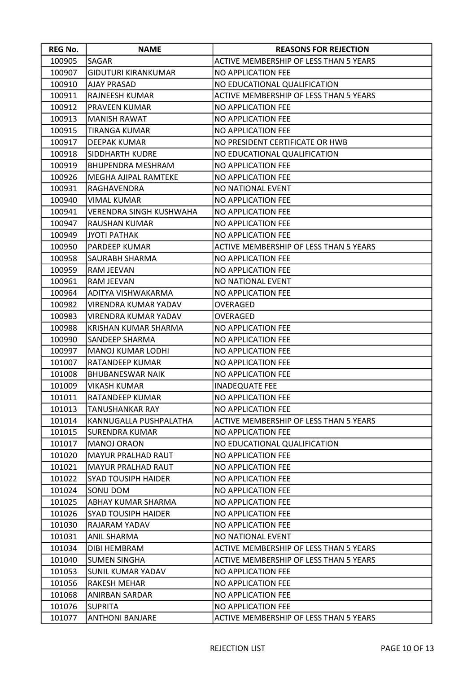| <b>REG No.</b> | <b>NAME</b>                    | <b>REASONS FOR REJECTION</b>           |
|----------------|--------------------------------|----------------------------------------|
| 100905         | SAGAR                          | ACTIVE MEMBERSHIP OF LESS THAN 5 YEARS |
| 100907         | GIDUTURI KIRANKUMAR            | NO APPLICATION FEE                     |
| 100910         | <b>AJAY PRASAD</b>             | NO EDUCATIONAL QUALIFICATION           |
| 100911         | RAJNEESH KUMAR                 | ACTIVE MEMBERSHIP OF LESS THAN 5 YEARS |
| 100912         | PRAVEEN KUMAR                  | NO APPLICATION FEE                     |
| 100913         | <b>MANISH RAWAT</b>            | NO APPLICATION FEE                     |
| 100915         | <b>TIRANGA KUMAR</b>           | NO APPLICATION FEE                     |
| 100917         | <b>DEEPAK KUMAR</b>            | NO PRESIDENT CERTIFICATE OR HWB        |
| 100918         | SIDDHARTH KUDRE                | NO EDUCATIONAL QUALIFICATION           |
| 100919         | <b>BHUPENDRA MESHRAM</b>       | NO APPLICATION FEE                     |
| 100926         | MEGHA AJIPAL RAMTEKE           | NO APPLICATION FEE                     |
| 100931         | RAGHAVENDRA                    | NO NATIONAL EVENT                      |
| 100940         | VIMAL KUMAR                    | NO APPLICATION FEE                     |
| 100941         | <b>VERENDRA SINGH KUSHWAHA</b> | NO APPLICATION FEE                     |
| 100947         | RAUSHAN KUMAR                  | NO APPLICATION FEE                     |
| 100949         | JYOTI PATHAK                   | NO APPLICATION FEE                     |
| 100950         | PARDEEP KUMAR                  | ACTIVE MEMBERSHIP OF LESS THAN 5 YEARS |
| 100958         | SAURABH SHARMA                 | NO APPLICATION FEE                     |
| 100959         | RAM JEEVAN                     | NO APPLICATION FEE                     |
| 100961         | RAM JEEVAN                     | NO NATIONAL EVENT                      |
| 100964         | ADITYA VISHWAKARMA             | NO APPLICATION FEE                     |
| 100982         | VIRENDRA KUMAR YADAV           | OVERAGED                               |
| 100983         | VIRENDRA KUMAR YADAV           | OVERAGED                               |
| 100988         | KRISHAN KUMAR SHARMA           | NO APPLICATION FEE                     |
| 100990         | SANDEEP SHARMA                 | NO APPLICATION FEE                     |
| 100997         | MANOJ KUMAR LODHI              | NO APPLICATION FEE                     |
| 101007         | RATANDEEP KUMAR                | NO APPLICATION FEE                     |
| 101008         | <b>BHUBANESWAR NAIK</b>        | NO APPLICATION FEE                     |
| 101009         | <b>VIKASH KUMAR</b>            | <b>INADEQUATE FEE</b>                  |
| 101011         | RATANDEEP KUMAR                | NO APPLICATION FEE                     |
| 101013         | <b>TANUSHANKAR RAY</b>         | NO APPLICATION FEE                     |
| 101014         | KANNUGALLA PUSHPALATHA         | ACTIVE MEMBERSHIP OF LESS THAN 5 YEARS |
| 101015         | SURENDRA KUMAR                 | NO APPLICATION FEE                     |
| 101017         | <b>MANOJ ORAON</b>             | NO EDUCATIONAL QUALIFICATION           |
| 101020         | <b>MAYUR PRALHAD RAUT</b>      | NO APPLICATION FEE                     |
| 101021         | MAYUR PRALHAD RAUT             | NO APPLICATION FEE                     |
| 101022         | <b>SYAD TOUSIPH HAIDER</b>     | NO APPLICATION FEE                     |
| 101024         | SONU DOM                       | NO APPLICATION FEE                     |
| 101025         | ABHAY KUMAR SHARMA             | NO APPLICATION FEE                     |
| 101026         | SYAD TOUSIPH HAIDER            | NO APPLICATION FEE                     |
| 101030         | RAJARAM YADAV                  | NO APPLICATION FEE                     |
| 101031         | ANIL SHARMA                    | NO NATIONAL EVENT                      |
| 101034         | DIBI HEMBRAM                   | ACTIVE MEMBERSHIP OF LESS THAN 5 YEARS |
| 101040         | <b>SUMEN SINGHA</b>            | ACTIVE MEMBERSHIP OF LESS THAN 5 YEARS |
| 101053         | <b>SUNIL KUMAR YADAV</b>       | NO APPLICATION FEE                     |
| 101056         | <b>RAKESH MEHAR</b>            | NO APPLICATION FEE                     |
| 101068         | ANIRBAN SARDAR                 | NO APPLICATION FEE                     |
| 101076         | <b>SUPRITA</b>                 | NO APPLICATION FEE                     |
| 101077         | <b>ANTHONI BANJARE</b>         | ACTIVE MEMBERSHIP OF LESS THAN 5 YEARS |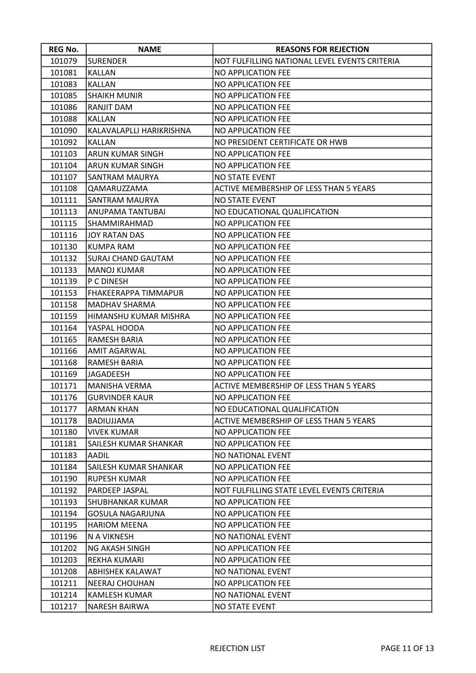| <b>REG No.</b> | <b>NAME</b>               | <b>REASONS FOR REJECTION</b>                  |
|----------------|---------------------------|-----------------------------------------------|
| 101079         | <b>SURENDER</b>           | NOT FULFILLING NATIONAL LEVEL EVENTS CRITERIA |
| 101081         | <b>KALLAN</b>             | NO APPLICATION FEE                            |
| 101083         | <b>KALLAN</b>             | <b>NO APPLICATION FEE</b>                     |
| 101085         | <b>SHAIKH MUNIR</b>       | NO APPLICATION FEE                            |
| 101086         | RANJIT DAM                | NO APPLICATION FEE                            |
| 101088         | <b>KALLAN</b>             | NO APPLICATION FEE                            |
| 101090         | KALAVALAPLLI HARIKRISHNA  | NO APPLICATION FEE                            |
| 101092         | <b>KALLAN</b>             | NO PRESIDENT CERTIFICATE OR HWB               |
| 101103         | ARUN KUMAR SINGH          | NO APPLICATION FEE                            |
| 101104         | ARUN KUMAR SINGH          | NO APPLICATION FEE                            |
| 101107         | SANTRAM MAURYA            | <b>NO STATE EVENT</b>                         |
| 101108         | QAMARUZZAMA               | ACTIVE MEMBERSHIP OF LESS THAN 5 YEARS        |
| 101111         | SANTRAM MAURYA            | NO STATE EVENT                                |
| 101113         | ANUPAMA TANTUBAI          | NO EDUCATIONAL QUALIFICATION                  |
| 101115         | <b>SHAMMIRAHMAD</b>       | NO APPLICATION FEE                            |
| 101116         | <b>JOY RATAN DAS</b>      | NO APPLICATION FEE                            |
| 101130         | <b>KUMPA RAM</b>          | NO APPLICATION FEE                            |
| 101132         | <b>SURAJ CHAND GAUTAM</b> | NO APPLICATION FEE                            |
| 101133         | <b>MANOJ KUMAR</b>        | NO APPLICATION FEE                            |
| 101139         | P C DINESH                | NO APPLICATION FEE                            |
| 101153         | FHAKEERAPPA TIMMAPUR      | NO APPLICATION FEE                            |
| 101158         | MADHAV SHARMA             | <b>NO APPLICATION FEE</b>                     |
| 101159         | HIMANSHU KUMAR MISHRA     | NO APPLICATION FEE                            |
| 101164         | YASPAL HOODA              | NO APPLICATION FEE                            |
| 101165         | RAMESH BARIA              | NO APPLICATION FEE                            |
| 101166         | <b>AMIT AGARWAL</b>       | NO APPLICATION FEE                            |
| 101168         | RAMESH BARIA              | NO APPLICATION FEE                            |
| 101169         | JAGADEESH                 | NO APPLICATION FEE                            |
| 101171         | <b>MANISHA VERMA</b>      | ACTIVE MEMBERSHIP OF LESS THAN 5 YEARS        |
| 101176         | <b>GURVINDER KAUR</b>     | <b>NO APPLICATION FEE</b>                     |
| 101177         | <b>ARMAN KHAN</b>         | NO EDUCATIONAL QUALIFICATION                  |
| 101178         | BADIUJJAMA                | ACTIVE MEMBERSHIP OF LESS THAN 5 YEARS        |
| 101180         | <b>VIVEK KUMAR</b>        | NO APPLICATION FEE                            |
| 101181         | SAILESH KUMAR SHANKAR     | NO APPLICATION FEE                            |
| 101183         | AADIL                     | NO NATIONAL EVENT                             |
| 101184         | SAILESH KUMAR SHANKAR     | NO APPLICATION FEE                            |
| 101190         | <b>RUPESH KUMAR</b>       | NO APPLICATION FEE                            |
| 101192         | PARDEEP JASPAL            | NOT FULFILLING STATE LEVEL EVENTS CRITERIA    |
| 101193         | SHUBHANKAR KUMAR          | NO APPLICATION FEE                            |
| 101194         | <b>GOSULA NAGARJUNA</b>   | NO APPLICATION FEE                            |
| 101195         | <b>HARIOM MEENA</b>       | NO APPLICATION FEE                            |
| 101196         | N A VIKNESH               | NO NATIONAL EVENT                             |
| 101202         | NG AKASH SINGH            | NO APPLICATION FEE                            |
| 101203         | <b>REKHA KUMARI</b>       | NO APPLICATION FEE                            |
| 101208         | <b>ABHISHEK KALAWAT</b>   | NO NATIONAL EVENT                             |
| 101211         | NEERAJ CHOUHAN            | NO APPLICATION FEE                            |
| 101214         | <b>KAMLESH KUMAR</b>      | NO NATIONAL EVENT                             |
| 101217         | NARESH BAIRWA             | <b>NO STATE EVENT</b>                         |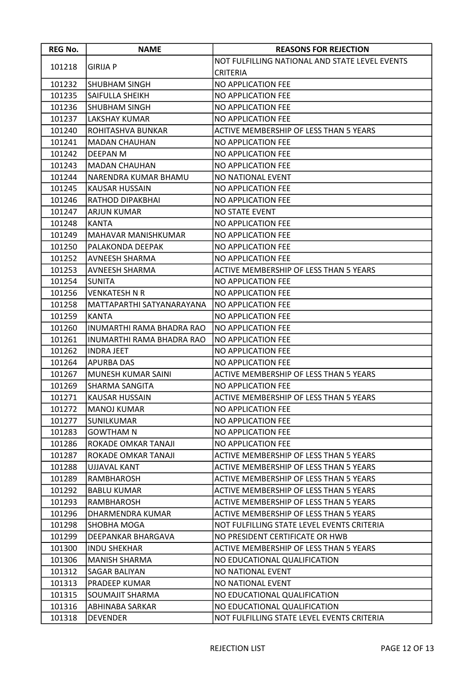| <b>REG No.</b> | <b>NAME</b>                | <b>REASONS FOR REJECTION</b>                   |
|----------------|----------------------------|------------------------------------------------|
|                |                            | NOT FULFILLING NATIONAL AND STATE LEVEL EVENTS |
| 101218         | <b>GIRIJA P</b>            | <b>CRITERIA</b>                                |
| 101232         | <b>SHUBHAM SINGH</b>       | NO APPLICATION FEE                             |
| 101235         | SAIFULLA SHEIKH            | NO APPLICATION FEE                             |
| 101236         | <b>SHUBHAM SINGH</b>       | NO APPLICATION FEE                             |
| 101237         | LAKSHAY KUMAR              | NO APPLICATION FEE                             |
| 101240         | ROHITASHVA BUNKAR          | ACTIVE MEMBERSHIP OF LESS THAN 5 YEARS         |
| 101241         | <b>MADAN CHAUHAN</b>       | NO APPLICATION FEE                             |
| 101242         | DEEPAN M                   | NO APPLICATION FEE                             |
| 101243         | <b>MADAN CHAUHAN</b>       | NO APPLICATION FEE                             |
| 101244         | NARENDRA KUMAR BHAMU       | NO NATIONAL EVENT                              |
| 101245         | <b>KAUSAR HUSSAIN</b>      | NO APPLICATION FEE                             |
| 101246         | RATHOD DIPAKBHAI           | NO APPLICATION FEE                             |
| 101247         | <b>ARJUN KUMAR</b>         | <b>NO STATE EVENT</b>                          |
| 101248         | <b>KANTA</b>               | NO APPLICATION FEE                             |
| 101249         | <b>MAHAVAR MANISHKUMAR</b> | NO APPLICATION FEE                             |
| 101250         | PALAKONDA DEEPAK           | NO APPLICATION FEE                             |
| 101252         | AVNEESH SHARMA             | NO APPLICATION FEE                             |
| 101253         | <b>AVNEESH SHARMA</b>      | ACTIVE MEMBERSHIP OF LESS THAN 5 YEARS         |
| 101254         | ISUNITA                    | NO APPLICATION FEE                             |
| 101256         | <b>VENKATESH N R</b>       | NO APPLICATION FEE                             |
| 101258         | MATTAPARTHI SATYANARAYANA  | <b>NO APPLICATION FEE</b>                      |
| 101259         | <b>KANTA</b>               | NO APPLICATION FEE                             |
| 101260         | INUMARTHI RAMA BHADRA RAO  | <b>NO APPLICATION FEE</b>                      |
| 101261         | INUMARTHI RAMA BHADRA RAO  | NO APPLICATION FEE                             |
| 101262         | <b>INDRA JEET</b>          | NO APPLICATION FEE                             |
| 101264         | <b>APURBA DAS</b>          | NO APPLICATION FEE                             |
| 101267         | <b>MUNESH KUMAR SAINI</b>  | ACTIVE MEMBERSHIP OF LESS THAN 5 YEARS         |
| 101269         | <b>SHARMA SANGITA</b>      | NO APPLICATION FEE                             |
| 101271         | <b>KAUSAR HUSSAIN</b>      | ACTIVE MEMBERSHIP OF LESS THAN 5 YEARS         |
| 101272         | <b>MANOJ KUMAR</b>         | NO APPLICATION FEE                             |
| 101277         | <b>SUNILKUMAR</b>          | NO APPLICATION FEE                             |
| 101283         | <b>GOWTHAM N</b>           | NO APPLICATION FEE                             |
| 101286         | ROKADE OMKAR TANAJI        | NO APPLICATION FEE                             |
| 101287         | ROKADE OMKAR TANAJI        | ACTIVE MEMBERSHIP OF LESS THAN 5 YEARS         |
| 101288         | <b>UJJAVAL KANT</b>        | ACTIVE MEMBERSHIP OF LESS THAN 5 YEARS         |
| 101289         | <b>RAMBHAROSH</b>          | ACTIVE MEMBERSHIP OF LESS THAN 5 YEARS         |
| 101292         | <b>BABLU KUMAR</b>         | ACTIVE MEMBERSHIP OF LESS THAN 5 YEARS         |
| 101293         | RAMBHAROSH                 | ACTIVE MEMBERSHIP OF LESS THAN 5 YEARS         |
| 101296         | DHARMENDRA KUMAR           | ACTIVE MEMBERSHIP OF LESS THAN 5 YEARS         |
| 101298         | <b>SHOBHA MOGA</b>         | NOT FULFILLING STATE LEVEL EVENTS CRITERIA     |
| 101299         | DEEPANKAR BHARGAVA         | NO PRESIDENT CERTIFICATE OR HWB                |
| 101300         | <b>INDU SHEKHAR</b>        | ACTIVE MEMBERSHIP OF LESS THAN 5 YEARS         |
| 101306         | <b>MANISH SHARMA</b>       | NO EDUCATIONAL QUALIFICATION                   |
| 101312         | <b>SAGAR BALIYAN</b>       | NO NATIONAL EVENT                              |
| 101313         | <b>PRADEEP KUMAR</b>       | NO NATIONAL EVENT                              |
| 101315         | SOUMAJIT SHARMA            | NO EDUCATIONAL QUALIFICATION                   |
| 101316         | <b>ABHINABA SARKAR</b>     | NO EDUCATIONAL QUALIFICATION                   |
| 101318         | <b>DEVENDER</b>            | NOT FULFILLING STATE LEVEL EVENTS CRITERIA     |